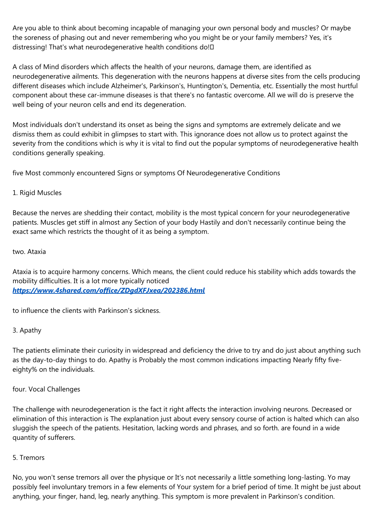Are you able to think about becoming incapable of managing your own personal body and muscles? Or maybe the soreness of phasing out and never remembering who you might be or your family members? Yes, it's distressing! That's what neurodegenerative health conditions do!

A class of Mind disorders which affects the health of your neurons, damage them, are identified as neurodegenerative ailments. This degeneration with the neurons happens at diverse sites from the cells producing different diseases which include Alzheimer's, Parkinson's, Huntington's, Dementia, etc. Essentially the most hurtful component about these car-immune diseases is that there's no fantastic overcome. All we will do is preserve the well being of your neuron cells and end its degeneration.

Most individuals don't understand its onset as being the signs and symptoms are extremely delicate and we dismiss them as could exhibit in glimpses to start with. This ignorance does not allow us to protect against the severity from the conditions which is why it is vital to find out the popular symptoms of neurodegenerative health conditions generally speaking.

five Most commonly encountered Signs or symptoms Of Neurodegenerative Conditions

## 1. Rigid Muscles

Because the nerves are shedding their contact, mobility is the most typical concern for your neurodegenerative patients. Muscles get stiff in almost any Section of your body Hastily and don't necessarily continue being the exact same which restricts the thought of it as being a symptom.

## two. Ataxia

Ataxia is to acquire harmony concerns. Which means, the client could reduce his stability which adds towards the mobility difficulties. It is a lot more typically noticed *<https://www.4shared.com/office/ZDgdXFJxea/202386.html>*

to influence the clients with Parkinson's sickness.

## 3. Apathy

The patients eliminate their curiosity in widespread and deficiency the drive to try and do just about anything such as the day-to-day things to do. Apathy is Probably the most common indications impacting Nearly fifty fiveeighty% on the individuals.

four. Vocal Challenges

The challenge with neurodegeneration is the fact it right affects the interaction involving neurons. Decreased or elimination of this interaction is The explanation just about every sensory course of action is halted which can also sluggish the speech of the patients. Hesitation, lacking words and phrases, and so forth. are found in a wide quantity of sufferers.

## 5. Tremors

No, you won't sense tremors all over the physique or It's not necessarily a little something long-lasting. Yo may possibly feel involuntary tremors in a few elements of Your system for a brief period of time. It might be just about anything, your finger, hand, leg, nearly anything. This symptom is more prevalent in Parkinson's condition.